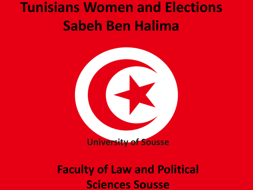## **Tunisians Women and Elections Sabeh Ben Halima**



**University of Sousse** 

**Faculty of Law and Political Sciences Sousse**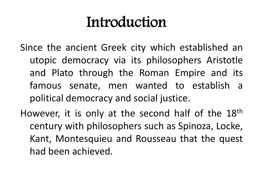## Introduction

- Since the ancient Greek city which established an utopic democracy via its philosophers Aristotle and Plato through the Roman Empire and its famous senate, men wanted to establish a political democracy and social justice.
- However, it is only at the second half of the 18<sup>th</sup> century with philosophers such as Spinoza, Locke, Kant, Montesquieu and Rousseau that the quest had been achieved.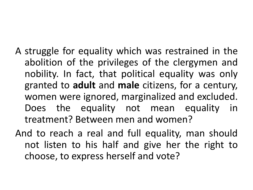- A struggle for equality which was restrained in the abolition of the privileges of the clergymen and nobility. In fact, that political equality was only granted to **adult** and **male** citizens, for a century, women were ignored, marginalized and excluded. Does the equality not mean equality in treatment? Between men and women?
- And to reach a real and full equality, man should not listen to his half and give her the right to choose, to express herself and vote?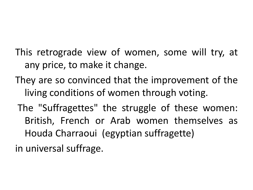- This retrograde view of women, some will try, at any price, to make it change.
- They are so convinced that the improvement of the living conditions of women through voting.
- The "Suffragettes" the struggle of these women: British, French or Arab women themselves as Houda Charraoui (egyptian suffragette)

in universal suffrage.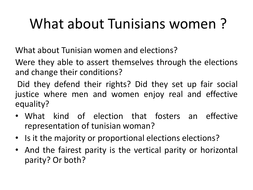# What about Tunisians women ?

What about Tunisian women and elections?

Were they able to assert themselves through the elections and change their conditions?

Did they defend their rights? Did they set up fair social justice where men and women enjoy real and effective equality?

- What kind of election that fosters an effective representation of tunisian woman?
- Is it the majority or proportional elections elections?
- And the fairest parity is the vertical parity or horizontal parity? Or both?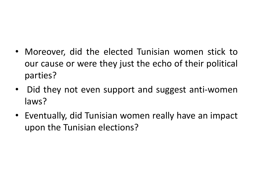- Moreover, did the elected Tunisian women stick to our cause or were they just the echo of their political parties?
- Did they not even support and suggest anti-women laws?
- Eventually, did Tunisian women really have an impact upon the Tunisian elections?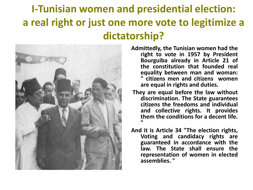#### **I-Tunisian women and presidential election: a real right or just one more vote to legitimize a dictatorship?**



- **Admittedly, the Tunisian women had the right to vote in 1957 by President Bourguiba already in Article 21 of the constitution that founded real equality between man and woman: " citizens men and citizens women are equal in rights and duties.**
- **They are equal before the law without discrimination. The State guarantees citizens the freedoms and individual and collective rights. It provides them the conditions for a decent life. "**
- **And it is Article 34 "The election rights, Voting and candidacy rights are guaranteed in accordance with the law. The State shall ensure the representation of women in elected assemblies. "**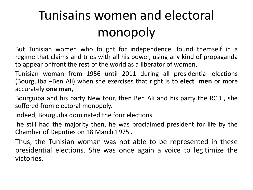### Tunisains women and electoral monopoly

But Tunisian women who fought for independence, found themself in a regime that claims and tries with all his power, using any kind of propaganda to appear onfront the rest of the world as a liberator of women,

Tunisian woman from 1956 until 2011 during all presidential elections (Bourguiba –Ben Ali) when she exercises that right is to **elect men** or more accurately **one man**,

Bourguiba and his party New tour, then Ben Ali and his party the RCD , she suffered from electoral monopoly.

Indeed, Bourguiba dominated the four elections

he still had the majority then, he was proclaimed president for life by the Chamber of Deputies on 18 March 1975 .

Thus, the Tunisian woman was not able to be represented in these presidential elections. She was once again a voice to legitimize the victories.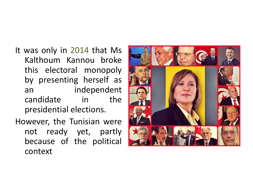- It was only in 2014 that Ms Kalthoum Kannou broke this electoral monopoly by presenting herself as an independent candidate in the presidential elections.
- However, the Tunisian were not ready yet, partly because of the political context

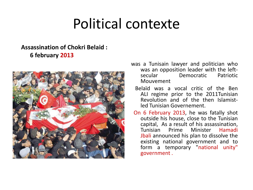### Political contexte

#### **Assassination of Chokri Belaid : 6 february 2013**



- was a Tunisain lawyer and politician who was an opposition leader with the left-Democratic Patriotic Mouvement
	- Belaïd was a vocal critic of the Ben ALI regime prior to the 2011Tunisian Revolution and of the then Islamistled Tunisian Governement.
- On 6 February 2013, he was fatally shot outside his house, close to the Tunisian capital, As a result of his assassination,<br>Tunisian Prime Minister Hamadi Tunisian Prime Minister Hamadi Jbali announced his plan to dissolve the existing national government and to form a temporary "national unity" government .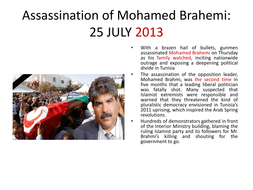## Assassination of Mohamed Brahemi: 25 JULY 2013



- With a brazen hail of bullets, gunmen assassinated Mohamed Brahemi on Thursday as his family watched, inciting nationwide outrage and exposing a deepening political divide in Tunisia
- The assassination of the opposition leader, Mohamed Brahmi, was the second time in five months that a leading liberal politician was fatally shot. Many suspected that Islamist extremists were responsible and warned that they threatened the kind of pluralistic democracy envisioned in Tunisia's 2011 uprising, which inspired the Arab Spring revolutions.
- Hundreds of demonstrators gathered in front of the Interior Ministry building, blaming the ruling Islamist party and its followers for Mr. Brahmi's killing and shouting for the government to go.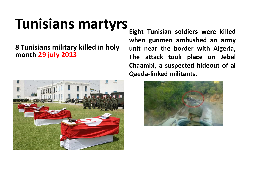## **Tunisians martyrs**

#### **8 Tunisians military killed in holy month 29 july 2013**



**Eight Tunisian soldiers were killed when gunmen ambushed an army unit near the border with Algeria, The attack took place on Jebel Chaambi, a suspected hideout of al Qaeda-linked militants.**

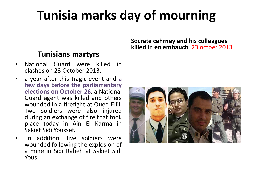#### **Tunisia marks day of mourning**

#### **Tunisians martyrs**

- National Guard were killed in clashes on 23 October 2013.
- a year after this tragic event and **a few days before the parliamentary elections on October 26**, a National Guard agent was killed and others wounded in a firefight at Oued Ellil. Two soldiers were also injured during an exchange of fire that took place today in Ain El Karma in Sakiet Sidi Youssef.
- In addition, five soldiers were wounded following the explosion of a mine in Sidi Rabeh at Sakiet Sidi Yous

**Socrate cahrney and his colleagues killed in en embauch** 23 octber 2013

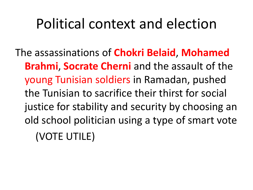### Political context and election

The assassinations of **Chokri Belaid**, **Mohamed Brahmi**, **Socrate Cherni** and the assault of the young Tunisian soldiers in Ramadan, pushed the Tunisian to sacrifice their thirst for social justice for stability and security by choosing an old school politician using a type of smart vote (VOTE UTILE)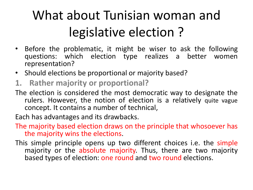## What about Tunisian woman and legislative election ?

- Before the problematic, it might be wiser to ask the following questions: which election type realizes a better women representation?
- Should elections be proportional or majority based?
- **1. Rather majority or proportional?**
- The election is considered the most democratic way to designate the rulers. However, the notion of election is a relatively quite vague concept. It contains a number of technical,
- Each has advantages and its drawbacks.
- The majority based election draws on the principle that whosoever has the majority wins the elections.
- This simple principle opens up two different choices i.e. the simple majority or the absolute majority. Thus, there are two majority based types of election: one round and two round elections.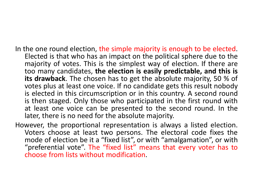- In the one round election, the simple majority is enough to be elected. Elected is that who has an impact on the political sphere due to the majority of votes. This is the simplest way of election. If there are too many candidates, **the election is easily predictable, and this is its drawback**. The chosen has to get the absolute majority, 50 % of votes plus at least one voice. If no candidate gets this result nobody is elected in this circumscription or in this country. A second round is then staged. Only those who participated in the first round with at least one voice can be presented to the second round. In the later, there is no need for the absolute majority.
- However, the proportional representation is always a listed election. Voters choose at least two persons. The electoral code fixes the mode of election be it a "fixed list", or with "amalgamation", or with "preferential vote". The "fixed list" means that every voter has to choose from lists without modification.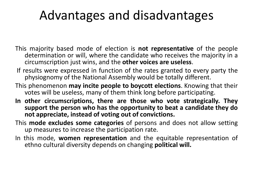#### Advantages and disadvantages

- This majority based mode of election is **not representative** of the people determination or will, where the candidate who receives the majority in a circumscription just wins, and the **other voices are useless**.
- If results were expressed in function of the rates granted to every party the physiognomy of the National Assembly would be totally different.
- This phenomenon **may incite people to boycott elections**. Knowing that their votes will be useless, many of them think long before participating.
- **In other circumscriptions, there are those who vote strategically. They support the person who has the opportunity to beat a candidate they do not appreciate, instead of voting out of convictions.**
- This **mode excludes some categories** of persons and does not allow setting up measures to increase the participation rate.
- In this mode, **women representation** and the equitable representation of ethno cultural diversity depends on changing **political will.**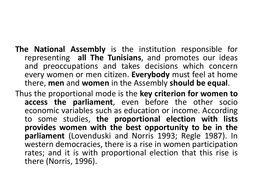- **The National Assembly** is the institution responsible for representing **all The Tunisians**, and promotes our ideas and preoccupations and takes decisions which concern every women or men citizen. **Everybody** must feel at home there, **men** and **women** in the Assembly **should be equal**.
- Thus the proportional mode is the **key criterion for women to access the parliament**, even before the other socio economic variables such as education or income. According to some studies, **the proportional election with lists provides women with the best opportunity to be in the parliament** (Lovenduski and Norris 1993; Regle 1987). In western democracies, there is a rise in women participation rates; and it is with proportional election that this rise is there (Norris, 1996).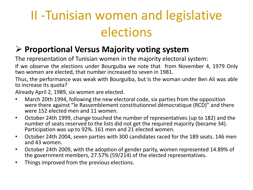### II -Tunisian women and legislative elections

#### ➢ **Proportional Versus Majority voting system**

The representation of Tunisian women in the majority electoral system:

If we observe the elections under Bourguiba we note that from November 4, 1979 Only two women are elected, that number increased to seven in 1981.

Thus, the performance was weak with Bourguiba, but Is the woman under Ben Ali was able to increase its quota?

Already April 2, 1989, six women are elected.

- March 20th 1994, following the new electoral code, six parties from the opposition were there against "le Rassemblement constitutionnel démocratique (RCD)" and there were 152 elected men and 11 women.
- October 24th 1999, change touched the number of representatives (up to 182) and the number of seats reserved to the lists did not get the required majority (became 34). Participation was up to 92%. 161 men and 21 elected women.
- October 24th 2004, seven parties with 300 candidates raced for the 189 seats. 146 men and 43 women.
- October 24th 2009, with the adoption of gender parity, women represented 14.89% of the government members, 27.57% (59/214) of the elected representatives.
- Things improved from the previous elections.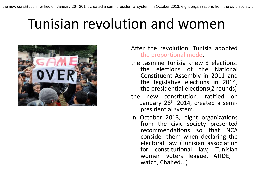# Tunisian revolution and women



#### After the revolution, Tunisia adopted the proportional mode.

- the Jasmine Tunisia knew 3 elections: the elections of the National Constituent Assembly in 2011 and the legislative elections in 2014, the presidential elections(2 rounds)
- the new constitution, ratified on January 26<sup>th</sup> 2014, created a semipresidential system.
- In October 2013, eight organizations from the civic society presented recommendations so that NCA consider them when declaring the electoral law (Tunisian association for constitutional law, Tunisian women voters league, ATIDE, I watch, Chahed...)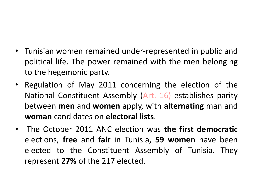- Tunisian women remained under-represented in public and political life. The power remained with the men belonging to the hegemonic party.
- Regulation of May 2011 concerning the election of the National Constituent Assembly (Art. 16) establishes parity between **men** and **women** apply, with **alternating** man and **woman** candidates on **electoral lists**.
- The October 2011 ANC election was **the first democratic** elections, **free** and **fair** in Tunisia, **59 women** have been elected to the Constituent Assembly of Tunisia. They represent **27%** of the 217 elected.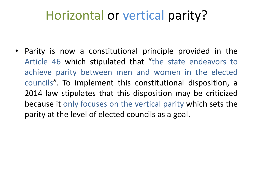#### Horizontal or vertical parity?

• Parity is now a constitutional principle provided in the Article 46 which stipulated that "the state endeavors to achieve parity between men and women in the elected councils". To implement this constitutional disposition, a 2014 law stipulates that this disposition may be criticized because it only focuses on the vertical parity which sets the parity at the level of elected councils as a goal.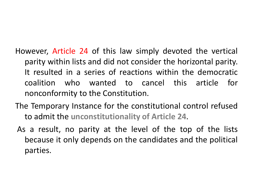- However, Article 24 of this law simply devoted the vertical parity within lists and did not consider the horizontal parity. It resulted in a series of reactions within the democratic coalition who wanted to cancel this article for nonconformity to the Constitution.
- The Temporary Instance for the constitutional control refused to admit the **unconstitutionality of Article 24**.
- As a result, no parity at the level of the top of the lists because it only depends on the candidates and the political parties.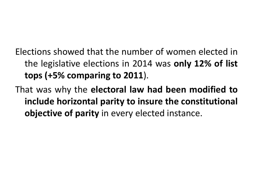Elections showed that the number of women elected in the legislative elections in 2014 was **only 12% of list tops (+5% comparing to 2011**).

That was why the **electoral law had been modified to include horizontal parity to insure the constitutional objective of parity** in every elected instance.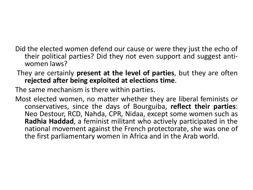- Did the elected women defend our cause or were they just the echo of their political parties? Did they not even support and suggest antiwomen laws?
- They are certainly **present at the level of parties**, but they are often **rejected after being exploited at elections time**.

The same mechanism is there within parties.

Most elected women, no matter whether they are liberal feminists or conservatives, since the days of Bourguiba, **reflect their parties**: Neo Destour, RCD, Nahda, CPR, Nidaa, except some women such as **Radhia Haddad**, a feminist militant who actively participated in the national movement against the French protectorate, she was one of the first parliamentary women in Africa and in the Arab world.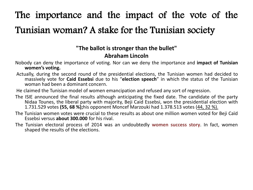#### The importance and the impact of the vote of the Tunisian woman? A stake for the Tunisian society

#### **"The ballot is stronger than the bullet" Abraham Lincoln**

- Nobody can deny the importance of voting. Nor can we deny the importance and **impact of Tunisian women's voting.**
- Actually, during the second round of the presidential elections, the Tunisian women had decided to massively vote for **Caid Essebsi** due to his "**election speech**" in which the status of the Tunisian woman had been a dominant concern.
- He claimed the Tunisian model of women emancipation and refused any sort of regression.
- The ISIE announced the final results although anticipating the fixed date. The candidate of the party Nidaa Tounes, the liberal party with majority, Beji Caid Essebsi, won the presidential election with 1.731.529 votes **(55, 68 %);**his opponent Moncef Marzouki had 1.378.513 votes (44, 32 %).
- The Tunisian women votes were crucial to these results as about one million women voted for Beji Caïd Essebsi versus **about 300.000** for his rival.
- The Tunisian electoral process of 2014 was an undoubtedly **women success story**. In fact, women shaped the results of the elections.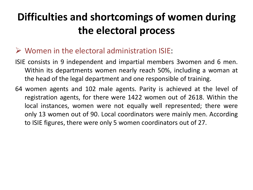#### **Difficulties and shortcomings of women during the electoral process**

#### $\triangleright$  Women in the electoral administration ISIE:

- ISIE consists in 9 independent and impartial members 3women and 6 men. Within its departments women nearly reach 50%, including a woman at the head of the legal department and one responsible of training.
- 64 women agents and 102 male agents. Parity is achieved at the level of registration agents, for there were 1422 women out of 2618. Within the local instances, women were not equally well represented; there were only 13 women out of 90. Local coordinators were mainly men. According to ISIE figures, there were only 5 women coordinators out of 27.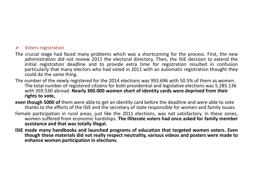#### ➢ Voters registration

- The crucial stage had faced many problems which was a shortcoming for the process. First, the new administration did not review 2011 the electoral directory. Then, the ISIE decision to extend the initial registration deadline and to provide extra time for registration resulted in confusion particularly that many electors who had voted in 2011 with an automatic registration thought they could do the same thing.
- The number of the newly registered for the 2014 elections was 993.696 with 50.5% of them as women. The total number of registered citizens for both presidential and legislative elections was 5.285.136 with 359.530 abroad. **Nearly 300.000 women short of identity cards were deprived from their rights to vote,**
- **even though 5000 of** them were able to get an identity card before the deadline and were able to vote thanks to the efforts of the ISIE and the secretary of state responsible for women and family issues.
- Female participation in rural areas, just like the 2011 elections, was not satisfactory. In these zones, women suffered from economic hardships. **The illiterate voters had once asked for family member assistance and that was totally illegal.**
- **ISIE made many handbooks and launched programs of education that targeted women voters. Even though these materials did not really respect neutrality, various videos and posters were made to enhance women participation in elections.**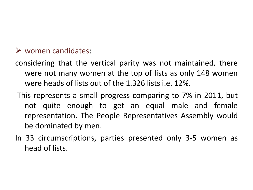#### $\triangleright$  women candidates:

- considering that the vertical parity was not maintained, there were not many women at the top of lists as only 148 women were heads of lists out of the 1.326 lists i.e. 12%.
- This represents a small progress comparing to 7% in 2011, but not quite enough to get an equal male and female representation. The People Representatives Assembly would be dominated by men.
- In 33 circumscriptions, parties presented only 3-5 women as head of lists.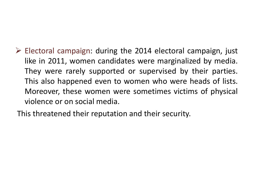$\triangleright$  Electoral campaign: during the 2014 electoral campaign, just like in 2011, women candidates were marginalized by media. They were rarely supported or supervised by their parties. This also happened even to women who were heads of lists. Moreover, these women were sometimes victims of physical violence or on social media.

This threatened their reputation and their security.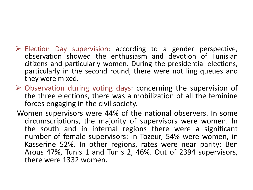- $\triangleright$  Election Day supervision: according to a gender perspective, observation showed the enthusiasm and devotion of Tunisian citizens and particularly women. During the presidential elections, particularly in the second round, there were not ling queues and they were mixed.
- ➢ Observation during voting days: concerning the supervision of the three elections, there was a mobilization of all the feminine forces engaging in the civil society.
- Women supervisors were 44% of the national observers. In some circumscriptions, the majority of supervisors were women. In the south and in internal regions there were a significant number of female supervisors: in Tozeur, 54% were women, in Kasserine 52%. In other regions, rates were near parity: Ben Arous 47%, Tunis 1 and Tunis 2, 46%. Out of 2394 supervisors, there were 1332 women.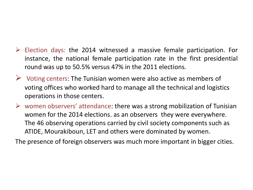- $\triangleright$  Election days: the 2014 witnessed a massive female participation. For instance, the national female participation rate in the first presidential round was up to 50.5% versus 47% in the 2011 elections.
- $\triangleright$  Voting centers: The Tunisian women were also active as members of voting offices who worked hard to manage all the technical and logistics operations in those centers.
- $\triangleright$  women observers' attendance: there was a strong mobilization of Tunisian women for the 2014 elections. as an observers they were everywhere. The 46 observing operations carried by civil society components such as ATIDE, Mourakiboun, LET and others were dominated by women.

The presence of foreign observers was much more important in bigger cities.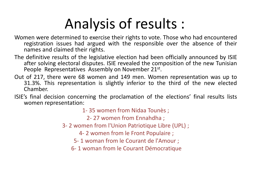## Analysis of results :

- Women were determined to exercise their rights to vote. Those who had encountered registration issues had argued with the responsible over the absence of their names and claimed their rights.
- The definitive results of the legislative election had been officially announced by ISIE after solving electoral disputes. ISIE revealed the composition of the new Tunisian People Representatives Assembly on November 21st.
- Out of 217, there were 68 women and 149 men. Women representation was up to 31.3%. This representation is slightly inferior to the third of the new elected Chamber.
- ISIE's final decision concerning the proclamation of the elections' final results lists women representation:

1- 35 women from Nidaa Tounès ;

2- 27 women from Ennahdha ;

3- 2 women from l'Union Patriotique Libre (UPL) ;

4- 2 women from le Front Populaire ;

5- 1 woman from le Courant de l'Amour ;

6- 1 woman from le Courant Démocratique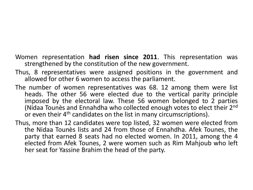- Women representation **had risen since 2011**. This representation was strengthened by the constitution of the new government.
- Thus, 8 representatives were assigned positions in the government and allowed for other 6 women to access the parliament.
- The number of women representatives was 68. 12 among them were list heads. The other 56 were elected due to the vertical parity principle imposed by the electoral law. These 56 women belonged to 2 parties (Nidaa Tounès and Ennahdha who collected enough votes to elect their 2<sup>nd</sup> or even their 4<sup>th</sup> candidates on the list in many circumscriptions).
- Thus, more than 12 candidates were top listed, 32 women were elected from the Nidaa Tounès lists and 24 from those of Ennahdha. Afek Tounes, the party that earned 8 seats had no elected women. In 2011, among the 4 elected from Afek Tounes, 2 were women such as Rim Mahjoub who left her seat for Yassine Brahim the head of the party.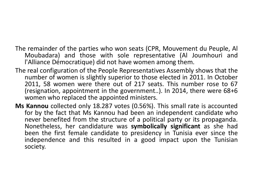- The remainder of the parties who won seats (CPR, Mouvement du Peuple, Al Moubadara) and those with sole representative (Al Joumhouri and l'Alliance Démocratique) did not have women among them.
- The real configuration of the People Representatives Assembly shows that the number of women is slightly superior to those elected in 2011. In October 2011, 58 women were there out of 217 seats. This number rose to 67 (resignation, appointment in the government..). In 2014, there were 68+6 women who replaced the appointed ministers.
- **Ms Kannou** collected only 18.287 votes (0.56%). This small rate is accounted for by the fact that Ms Kannou had been an independent candidate who never benefited from the structure of a political party or its propaganda. Nonetheless, her candidature was **symbolically significant** as she had been the first female candidate to presidency in Tunisia ever since the independence and this resulted in a good impact upon the Tunisian society.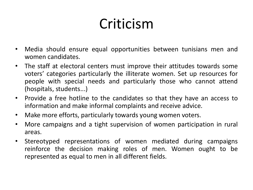# Criticism

- Media should ensure equal opportunities between tunisians men and women candidates.
- The staff at electoral centers must improve their attitudes towards some voters' categories particularly the illiterate women. Set up resources for people with special needs and particularly those who cannot attend (hospitals, students...)
- Provide a free hotline to the candidates so that they have an access to information and make informal complaints and receive advice.
- Make more efforts, particularly towards young women voters.
- More campaigns and a tight supervision of women participation in rural areas.
- Stereotyped representations of women mediated during campaigns reinforce the decision making roles of men. Women ought to be represented as equal to men in all different fields.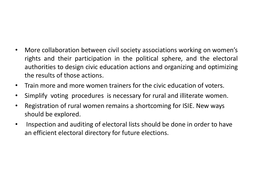- More collaboration between civil society associations working on women's rights and their participation in the political sphere, and the electoral authorities to design civic education actions and organizing and optimizing the results of those actions.
- Train more and more women trainers for the civic education of voters.
- Simplify voting procedures is necessary for rural and illiterate women.
- Registration of rural women remains a shortcoming for ISIE. New ways should be explored.
- Inspection and auditing of electoral lists should be done in order to have an efficient electoral directory for future elections.